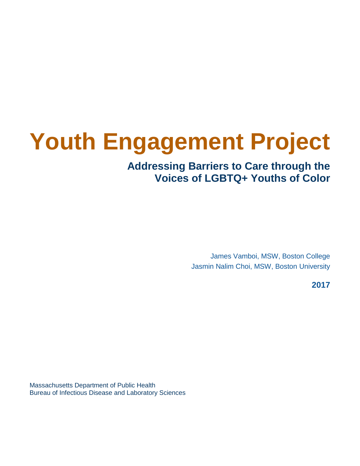# **Youth Engagement Project**

# **Addressing Barriers to Care through the Voices of LGBTQ+ Youths of Color**

James Vamboi, MSW, Boston College Jasmin Nalim Choi, MSW, Boston University

**2017**

Massachusetts Department of Public Health Bureau of Infectious Disease and Laboratory Sciences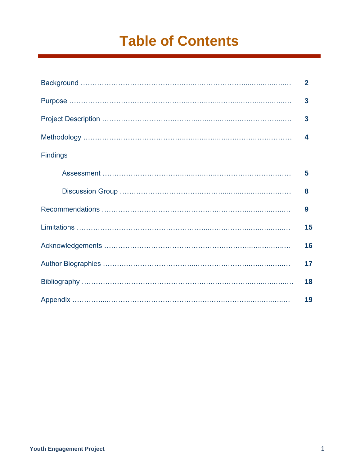# **Table of Contents**

|                 | $\overline{2}$          |
|-----------------|-------------------------|
|                 | 3                       |
|                 | $\overline{\mathbf{3}}$ |
|                 | 4                       |
| <b>Findings</b> |                         |
|                 | 5                       |
|                 | 8                       |
|                 | 9                       |
|                 | 15                      |
|                 | 16                      |
|                 | 17                      |
|                 | 18                      |
|                 | 19                      |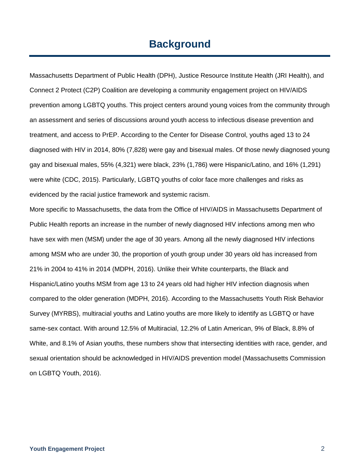# **Background**

Massachusetts Department of Public Health (DPH), Justice Resource Institute Health (JRI Health), and Connect 2 Protect (C2P) Coalition are developing a community engagement project on HIV/AIDS prevention among LGBTQ youths. This project centers around young voices from the community through an assessment and series of discussions around youth access to infectious disease prevention and treatment, and access to PrEP. According to the Center for Disease Control, youths aged 13 to 24 diagnosed with HIV in 2014, 80% (7,828) were gay and bisexual males. Of those newly diagnosed young gay and bisexual males, 55% (4,321) were black, 23% (1,786) were Hispanic/Latino, and 16% (1,291) were white (CDC, 2015). Particularly, LGBTQ youths of color face more challenges and risks as evidenced by the racial justice framework and systemic racism.

More specific to Massachusetts, the data from the Office of HIV/AIDS in Massachusetts Department of Public Health reports an increase in the number of newly diagnosed HIV infections among men who have sex with men (MSM) under the age of 30 years. Among all the newly diagnosed HIV infections among MSM who are under 30, the proportion of youth group under 30 years old has increased from 21% in 2004 to 41% in 2014 (MDPH, 2016). Unlike their White counterparts, the Black and Hispanic/Latino youths MSM from age 13 to 24 years old had higher HIV infection diagnosis when compared to the older generation (MDPH, 2016). According to the Massachusetts Youth Risk Behavior Survey (MYRBS), multiracial youths and Latino youths are more likely to identify as LGBTQ or have same-sex contact. With around 12.5% of Multiracial, 12.2% of Latin American, 9% of Black, 8.8% of White, and 8.1% of Asian youths, these numbers show that intersecting identities with race, gender, and sexual orientation should be acknowledged in HIV/AIDS prevention model (Massachusetts Commission on LGBTQ Youth, 2016).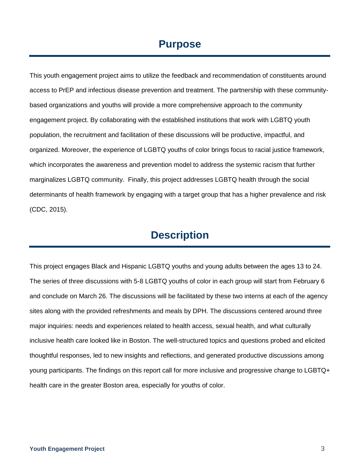# **Purpose**

This youth engagement project aims to utilize the feedback and recommendation of constituents around access to PrEP and infectious disease prevention and treatment. The partnership with these communitybased organizations and youths will provide a more comprehensive approach to the community engagement project. By collaborating with the established institutions that work with LGBTQ youth population, the recruitment and facilitation of these discussions will be productive, impactful, and organized. Moreover, the experience of LGBTQ youths of color brings focus to racial justice framework, which incorporates the awareness and prevention model to address the systemic racism that further marginalizes LGBTQ community. Finally, this project addresses LGBTQ health through the social determinants of health framework by engaging with a target group that has a higher prevalence and risk (CDC, 2015).

# **Description**

This project engages Black and Hispanic LGBTQ youths and young adults between the ages 13 to 24. The series of three discussions with 5-8 LGBTQ youths of color in each group will start from February 6 and conclude on March 26. The discussions will be facilitated by these two interns at each of the agency sites along with the provided refreshments and meals by DPH. The discussions centered around three major inquiries: needs and experiences related to health access, sexual health, and what culturally inclusive health care looked like in Boston. The well-structured topics and questions probed and elicited thoughtful responses, led to new insights and reflections, and generated productive discussions among young participants. The findings on this report call for more inclusive and progressive change to LGBTQ+ health care in the greater Boston area, especially for youths of color.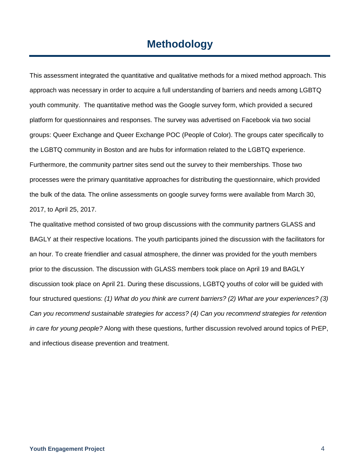# **Methodology**

This assessment integrated the quantitative and qualitative methods for a mixed method approach. This approach was necessary in order to acquire a full understanding of barriers and needs among LGBTQ youth community. The quantitative method was the Google survey form, which provided a secured platform for questionnaires and responses. The survey was advertised on Facebook via two social groups: Queer Exchange and Queer Exchange POC (People of Color). The groups cater specifically to the LGBTQ community in Boston and are hubs for information related to the LGBTQ experience. Furthermore, the community partner sites send out the survey to their memberships. Those two processes were the primary quantitative approaches for distributing the questionnaire, which provided the bulk of the data. The online assessments on google survey forms were available from March 30, 2017, to April 25, 2017.

The qualitative method consisted of two group discussions with the community partners GLASS and BAGLY at their respective locations. The youth participants joined the discussion with the facilitators for an hour. To create friendlier and casual atmosphere, the dinner was provided for the youth members prior to the discussion. The discussion with GLASS members took place on April 19 and BAGLY discussion took place on April 21. During these discussions, LGBTQ youths of color will be guided with four structured questions: *(1) What do you think are current barriers? (2) What are your experiences? (3) Can you recommend sustainable strategies for access? (4) Can you recommend strategies for retention in care for young people?* Along with these questions, further discussion revolved around topics of PrEP, and infectious disease prevention and treatment.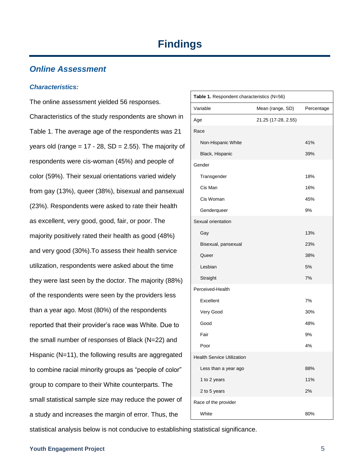### *Online Assessment*

#### *Characteristics:*

The online assessment yielded 56 responses. Characteristics of the study respondents are shown in Table 1. The average age of the respondents was 21 years old (range =  $17 - 28$ , SD = 2.55). The majority of respondents were cis-woman (45%) and people of color (59%). Their sexual orientations varied widely from gay (13%), queer (38%), bisexual and pansexual (23%). Respondents were asked to rate their health as excellent, very good, good, fair, or poor. The majority positively rated their health as good (48%) and very good (30%).To assess their health service utilization, respondents were asked about the time they were last seen by the doctor. The majority (88%) of the respondents were seen by the providers less than a year ago. Most (80%) of the respondents reported that their provider's race was White. Due to the small number of responses of Black (N=22) and Hispanic (N=11), the following results are aggregated to combine racial minority groups as "people of color" group to compare to their White counterparts. The small statistical sample size may reduce the power of a study and increases the margin of error. Thus, the

| Table 1. Respondent characteristics (N=56) |                     |            |  |
|--------------------------------------------|---------------------|------------|--|
| Variable                                   | Mean (range, SD)    | Percentage |  |
| Age                                        | 21.25 (17-28, 2.55) |            |  |
| Race                                       |                     |            |  |
| Non-Hispanic White                         |                     | 41%        |  |
| Black, Hispanic                            |                     | 39%        |  |
| Gender                                     |                     |            |  |
| Transgender                                |                     | 18%        |  |
| Cis Man                                    |                     | 16%        |  |
| Cis Woman                                  |                     | 45%        |  |
| Genderqueer                                |                     | 9%         |  |
| Sexual orientation                         |                     |            |  |
| Gay                                        |                     | 13%        |  |
| Bisexual, pansexual                        |                     | 23%        |  |
| Queer                                      |                     | 38%        |  |
| Lesbian                                    |                     | 5%         |  |
| Straight                                   |                     | 7%         |  |
| Perceived-Health                           |                     |            |  |
| Excellent                                  |                     | 7%         |  |
| Very Good                                  |                     | 30%        |  |
| Good                                       |                     | 48%        |  |
| Fair                                       |                     | 9%         |  |
| Poor                                       |                     | 4%         |  |
| <b>Health Service Utilization</b>          |                     |            |  |
| Less than a year ago                       |                     | 88%        |  |
| 1 to 2 years                               |                     | 11%        |  |
| 2 to 5 years                               |                     | 2%         |  |
| Race of the provider                       |                     |            |  |
| White                                      |                     | 80%        |  |

statistical analysis below is not conducive to establishing statistical significance.

#### **Youth Engagement Project** 5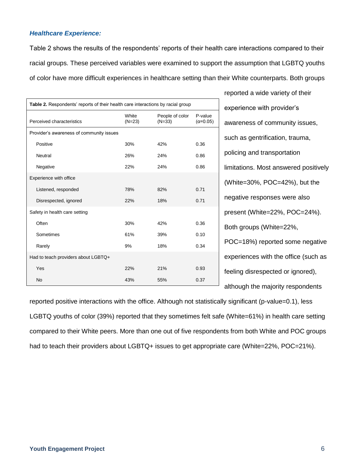#### *Healthcare Experience:*

Table 2 shows the results of the respondents' reports of their health care interactions compared to their racial groups. These perceived variables were examined to support the assumption that LGBTQ youths of color have more difficult experiences in healthcare setting than their White counterparts. Both groups

| Table 2. Respondents' reports of their health care interactions by racial group |                   |                             |                              |
|---------------------------------------------------------------------------------|-------------------|-----------------------------|------------------------------|
| Perceived characteristics                                                       | White<br>$(N=23)$ | People of color<br>$(N=33)$ | P-value<br>$(\alpha = 0.05)$ |
| Provider's awareness of community issues                                        |                   |                             |                              |
| Positive                                                                        | 30%               | 42%                         | 0.36                         |
| Neutral                                                                         | 26%               | 24%                         | 0.86                         |
| Negative                                                                        | 22%               | 24%                         | 0.86                         |
| Experience with office                                                          |                   |                             |                              |
| Listened, responded                                                             | 78%               | 82%                         | 0.71                         |
| Disrespected, ignored                                                           | 22%               | 18%                         | 0.71                         |
| Safety in health care setting                                                   |                   |                             |                              |
| Often                                                                           | 30%               | 42%                         | 0.36                         |
| Sometimes                                                                       | 61%               | 39%                         | 0.10                         |
| Rarely                                                                          | 9%                | 18%                         | 0.34                         |
| Had to teach providers about LGBTQ+                                             |                   |                             |                              |
| Yes                                                                             | 22%               | 21%                         | 0.93                         |
| <b>No</b>                                                                       | 43%               | 55%                         | 0.37                         |

reported a wide variety of their experience with provider's awareness of community issues, such as gentrification, trauma, policing and transportation limitations. Most answered positively (White=30%, POC=42%), but the negative responses were also present (White=22%, POC=24%). Both groups (White=22%, POC=18%) reported some negative experiences with the office (such as feeling disrespected or ignored), although the majority respondents

reported positive interactions with the office. Although not statistically significant (p-value=0.1), less LGBTQ youths of color (39%) reported that they sometimes felt safe (White=61%) in health care setting compared to their White peers. More than one out of five respondents from both White and POC groups had to teach their providers about LGBTQ+ issues to get appropriate care (White=22%, POC=21%).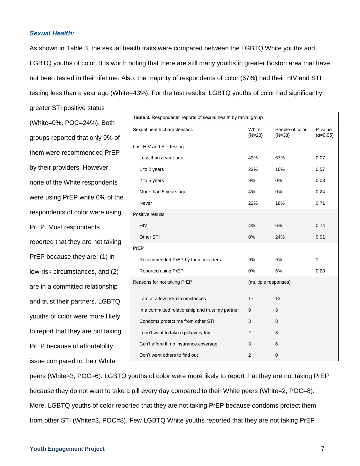#### *Sexual Health:*

greater STI positive status

As shown in Table 3, the sexual health traits were compared between the LGBTQ White youths and LGBTQ youths of color. It is worth noting that there are still many youths in greater Boston area that have not been tested in their lifetime. Also, the majority of respondents of color (67%) had their HIV and STI testing less than a year ago (White=43%). For the test results, LGBTQ youths of color had significantly

(White=0%, POC=24%). Both groups reported that only 9% of them were recommended PrEP by their providers. However, none of the White respondents were using PrEP while 6% of the respondents of color were using PrEP. Most respondents reported that they are not taking PrEP because they are: (1) in low-risk circumstances, and (2) are in a committed relationship and trust their partners. LGBTQ youths of color were more likely to report that they are not taking PrEP because of affordability issue compared to their White

| Table 3. Respondents' reports of sexual health by racial group |                      |                             |                              |
|----------------------------------------------------------------|----------------------|-----------------------------|------------------------------|
| Sexual health characteristics                                  | White<br>$(N=23)$    | People of color<br>$(N=33)$ | P-value<br>$(\alpha = 0.05)$ |
| Last HIV and STI testing                                       |                      |                             |                              |
| Less than a year ago                                           | 43%                  | 67%                         | 0.07                         |
| 1 to 2 years                                                   | 22%                  | 16%                         | 0.57                         |
| 2 to 5 years                                                   | 9%                   | 0%                          | 0.08                         |
| More than 5 years ago                                          | 4%                   | 0%                          | 0.24                         |
| Never                                                          | 22%                  | 18%                         | 0.71                         |
| Positive results                                               |                      |                             |                              |
| <b>HIV</b>                                                     | 4%                   | 6%                          | 0.74                         |
| Other STI                                                      | $0\%$                | 24%                         | 0.01                         |
| PrEP                                                           |                      |                             |                              |
| Recommended PrEP by their providers                            | 9%                   | 9%                          | 1                            |
| Reported using PrEP                                            | 0%                   | 6%                          | 0.23                         |
| Reasons for not taking PrEP                                    | (multiple responses) |                             |                              |
| I am at a low risk circumstances                               | 17                   | 13                          |                              |
| In a committed relationship and trust my partner               | 9                    | 8                           |                              |
| Condoms protect me from other STI                              | 3                    | 8                           |                              |
| I don't want to take a pill everyday                           | 2                    | 8                           |                              |
| Can't afford it, no insurance coverage                         | 3                    | 6                           |                              |
| Don't want others to find out                                  | 2                    | 0                           |                              |

peers (White=3, POC=6). LGBTQ youths of color were more likely to report that they are not taking PrEP because they do not want to take a pill every day compared to their White peers (White=2, POC=8). More, LGBTQ youths of color reported that they are not taking PrEP because condoms protect them from other STI (White=3, POC=8). Few LGBTQ White youths reported that they are not taking PrEP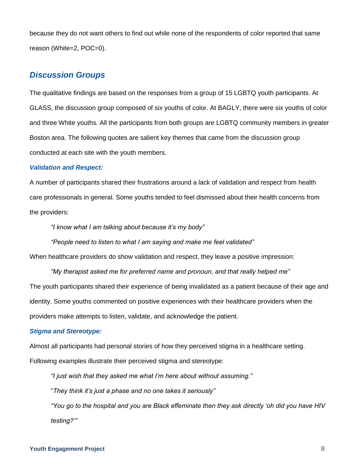because they do not want others to find out while none of the respondents of color reported that same reason (White=2, POC=0).

### *Discussion Groups*

The qualitative findings are based on the responses from a group of 15 LGBTQ youth participants. At GLASS, the discussion group composed of six youths of color. At BAGLY, there were six youths of color and three White youths. All the participants from both groups are LGBTQ community members in greater Boston area. The following quotes are salient key themes that came from the discussion group conducted at each site with the youth members.

#### *Validation and Respect:*

A number of participants shared their frustrations around a lack of validation and respect from health care professionals in general. Some youths tended to feel dismissed about their health concerns from the providers:

*"I know what I am talking about because it's my body"* 

*"People need to listen to what I am saying and make me feel validated"* 

When healthcare providers do show validation and respect, they leave a positive impression:

*"My therapist asked me for preferred name and pronoun, and that really helped me"* The youth participants shared their experience of being invalidated as a patient because of their age and identity. Some youths commented on positive experiences with their healthcare providers when the providers make attempts to listen, validate, and acknowledge the patient.

#### *Stigma and Stereotype:*

Almost all participants had personal stories of how they perceived stigma in a healthcare setting. Following examples illustrate their perceived stigma and stereotype:

*"I just wish that they asked me what I'm here about without assuming."*

"*They think it's just a phase and no one takes it seriously"* 

*"You go to the hospital and you are Black effeminate then they ask directly 'oh did you have HIV testing?'"*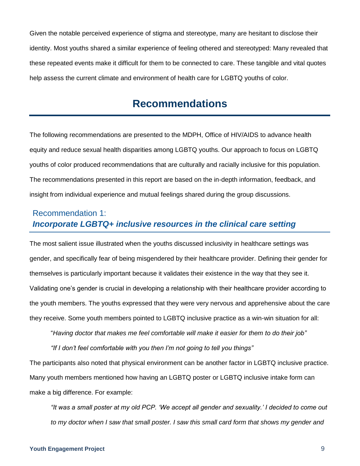Given the notable perceived experience of stigma and stereotype, many are hesitant to disclose their identity. Most youths shared a similar experience of feeling othered and stereotyped: Many revealed that these repeated events make it difficult for them to be connected to care. These tangible and vital quotes help assess the current climate and environment of health care for LGBTQ youths of color.

# **Recommendations**

The following recommendations are presented to the MDPH, Office of HIV/AIDS to advance health equity and reduce sexual health disparities among LGBTQ youths. Our approach to focus on LGBTQ youths of color produced recommendations that are culturally and racially inclusive for this population. The recommendations presented in this report are based on the in-depth information, feedback, and insight from individual experience and mutual feelings shared during the group discussions.

### Recommendation 1: *Incorporate LGBTQ+ inclusive resources in the clinical care setting*

The most salient issue illustrated when the youths discussed inclusivity in healthcare settings was gender, and specifically fear of being misgendered by their healthcare provider. Defining their gender for themselves is particularly important because it validates their existence in the way that they see it. Validating one's gender is crucial in developing a relationship with their healthcare provider according to the youth members. The youths expressed that they were very nervous and apprehensive about the care they receive. Some youth members pointed to LGBTQ inclusive practice as a win-win situation for all:

"*Having doctor that makes me feel comfortable will make it easier for them to do their job"*

*"If I don't feel comfortable with you then I'm not going to tell you things"* 

The participants also noted that physical environment can be another factor in LGBTQ inclusive practice. Many youth members mentioned how having an LGBTQ poster or LGBTQ inclusive intake form can make a big difference. For example:

*"It was a small poster at my old PCP. 'We accept all gender and sexuality.' I decided to come out to my doctor when I saw that small poster. I saw this small card form that shows my gender and*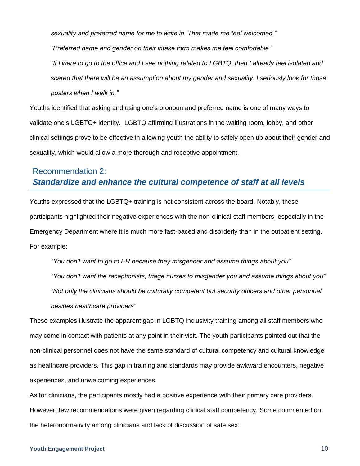*sexuality and preferred name for me to write in. That made me feel welcomed."* 

*"Preferred name and gender on their intake form makes me feel comfortable"*

*"If I were to go to the office and I see nothing related to LGBTQ, then I already feel isolated and scared that there will be an assumption about my gender and sexuality. I seriously look for those posters when I walk in."* 

Youths identified that asking and using one's pronoun and preferred name is one of many ways to validate one's LGBTQ+ identity. LGBTQ affirming illustrations in the waiting room, lobby, and other clinical settings prove to be effective in allowing youth the ability to safely open up about their gender and sexuality, which would allow a more thorough and receptive appointment.

### Recommendation 2: *Standardize and enhance the cultural competence of staff at all levels*

Youths expressed that the LGBTQ+ training is not consistent across the board. Notably, these participants highlighted their negative experiences with the non-clinical staff members, especially in the Emergency Department where it is much more fast-paced and disorderly than in the outpatient setting. For example:

*"You don't want to go to ER because they misgender and assume things about you" "You don't want the receptionists, triage nurses to misgender you and assume things about you" "Not only the clinicians should be culturally competent but security officers and other personnel besides healthcare providers"*

These examples illustrate the apparent gap in LGBTQ inclusivity training among all staff members who may come in contact with patients at any point in their visit. The youth participants pointed out that the non-clinical personnel does not have the same standard of cultural competency and cultural knowledge as healthcare providers. This gap in training and standards may provide awkward encounters, negative experiences, and unwelcoming experiences.

As for clinicians, the participants mostly had a positive experience with their primary care providers. However, few recommendations were given regarding clinical staff competency. Some commented on the heteronormativity among clinicians and lack of discussion of safe sex:

#### **Youth Engagement Project** 10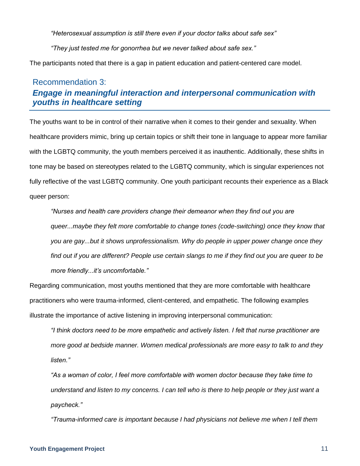*"Heterosexual assumption is still there even if your doctor talks about safe sex"* 

*"They just tested me for gonorrhea but we never talked about safe sex."* 

The participants noted that there is a gap in patient education and patient-centered care model.

### Recommendation 3: *Engage in meaningful interaction and interpersonal communication with youths in healthcare setting*

The youths want to be in control of their narrative when it comes to their gender and sexuality. When healthcare providers mimic, bring up certain topics or shift their tone in language to appear more familiar with the LGBTQ community, the youth members perceived it as inauthentic. Additionally, these shifts in tone may be based on stereotypes related to the LGBTQ community, which is singular experiences not fully reflective of the vast LGBTQ community. One youth participant recounts their experience as a Black queer person:

*"Nurses and health care providers change their demeanor when they find out you are queer...maybe they felt more comfortable to change tones (code-switching) once they know that you are gay...but it shows unprofessionalism. Why do people in upper power change once they find out if you are different? People use certain slangs to me if they find out you are queer to be more friendly...it's uncomfortable."*

Regarding communication, most youths mentioned that they are more comfortable with healthcare practitioners who were trauma-informed, client-centered, and empathetic. The following examples illustrate the importance of active listening in improving interpersonal communication:

*"I think doctors need to be more empathetic and actively listen. I felt that nurse practitioner are more good at bedside manner. Women medical professionals are more easy to talk to and they listen."*

*"As a woman of color, I feel more comfortable with women doctor because they take time to understand and listen to my concerns. I can tell who is there to help people or they just want a paycheck."*

*"Trauma-informed care is important because I had physicians not believe me when I tell them*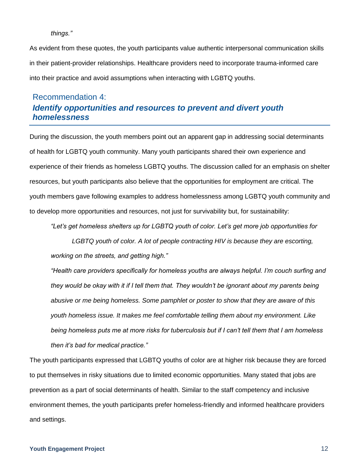#### *things."*

As evident from these quotes, the youth participants value authentic interpersonal communication skills in their patient-provider relationships. Healthcare providers need to incorporate trauma-informed care into their practice and avoid assumptions when interacting with LGBTQ youths.

### Recommendation 4: *Identify opportunities and resources to prevent and divert youth homelessness*

During the discussion, the youth members point out an apparent gap in addressing social determinants of health for LGBTQ youth community. Many youth participants shared their own experience and experience of their friends as homeless LGBTQ youths. The discussion called for an emphasis on shelter resources, but youth participants also believe that the opportunities for employment are critical. The youth members gave following examples to address homelessness among LGBTQ youth community and to develop more opportunities and resources, not just for survivability but, for sustainability:

*"Let's get homeless shelters up for LGBTQ youth of color. Let's get more job opportunities for* 

*LGBTQ youth of color. A lot of people contracting HIV is because they are escorting, working on the streets, and getting high."*

*"Health care providers specifically for homeless youths are always helpful. I'm couch surfing and they would be okay with it if I tell them that. They wouldn't be ignorant about my parents being abusive or me being homeless. Some pamphlet or poster to show that they are aware of this youth homeless issue. It makes me feel comfortable telling them about my environment. Like being homeless puts me at more risks for tuberculosis but if I can't tell them that I am homeless then it's bad for medical practice."*

The youth participants expressed that LGBTQ youths of color are at higher risk because they are forced to put themselves in risky situations due to limited economic opportunities. Many stated that jobs are prevention as a part of social determinants of health. Similar to the staff competency and inclusive environment themes, the youth participants prefer homeless-friendly and informed healthcare providers and settings.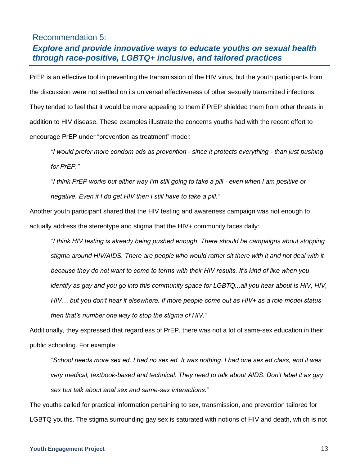### Recommendation 5:

### *Explore and provide innovative ways to educate youths on sexual health through race-positive, LGBTQ+ inclusive, and tailored practices*

PrEP is an effective tool in preventing the transmission of the HIV virus, but the youth participants from the discussion were not settled on its universal effectiveness of other sexually transmitted infections. They tended to feel that it would be more appealing to them if PrEP shielded them from other threats in addition to HIV disease. These examples illustrate the concerns youths had with the recent effort to encourage PrEP under "prevention as treatment" model:

*"I would prefer more condom ads as prevention - since it protects everything - than just pushing for PrEP."*

*"I think PrEP works but either way I'm still going to take a pill - even when I am positive or negative. Even if I do get HIV then I still have to take a pill."*

Another youth participant shared that the HIV testing and awareness campaign was not enough to actually address the stereotype and stigma that the HIV+ community faces daily:

*"I think HIV testing is already being pushed enough. There should be campaigns about stopping stigma around HIV/AIDS. There are people who would rather sit there with it and not deal with it because they do not want to come to terms with their HIV results. It's kind of like when you identify as gay and you go into this community space for LGBTQ...all you hear about is HIV, HIV, HIV… but you don't hear it elsewhere. If more people come out as HIV+ as a role model status then that's number one way to stop the stigma of HIV."* 

Additionally, they expressed that regardless of PrEP, there was not a lot of same-sex education in their public schooling. For example:

*"School needs more sex ed. I had no sex ed. It was nothing. I had one sex ed class, and it was very medical, textbook-based and technical. They need to talk about AIDS. Don't label it as gay sex but talk about anal sex and same-sex interactions."*

The youths called for practical information pertaining to sex, transmission, and prevention tailored for LGBTQ youths. The stigma surrounding gay sex is saturated with notions of HIV and death, which is not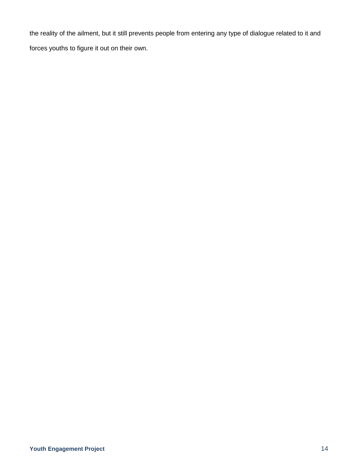the reality of the ailment, but it still prevents people from entering any type of dialogue related to it and forces youths to figure it out on their own.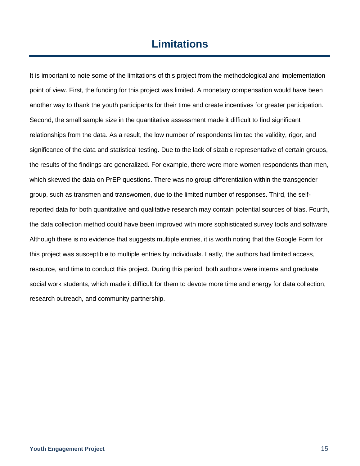# **Limitations**

It is important to note some of the limitations of this project from the methodological and implementation point of view. First, the funding for this project was limited. A monetary compensation would have been another way to thank the youth participants for their time and create incentives for greater participation. Second, the small sample size in the quantitative assessment made it difficult to find significant relationships from the data. As a result, the low number of respondents limited the validity, rigor, and significance of the data and statistical testing. Due to the lack of sizable representative of certain groups, the results of the findings are generalized. For example, there were more women respondents than men, which skewed the data on PrEP questions. There was no group differentiation within the transgender group, such as transmen and transwomen, due to the limited number of responses. Third, the selfreported data for both quantitative and qualitative research may contain potential sources of bias. Fourth, the data collection method could have been improved with more sophisticated survey tools and software. Although there is no evidence that suggests multiple entries, it is worth noting that the Google Form for this project was susceptible to multiple entries by individuals. Lastly, the authors had limited access, resource, and time to conduct this project. During this period, both authors were interns and graduate social work students, which made it difficult for them to devote more time and energy for data collection, research outreach, and community partnership.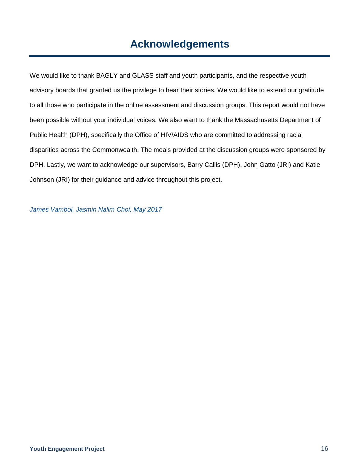# **Acknowledgements**

We would like to thank BAGLY and GLASS staff and youth participants, and the respective youth advisory boards that granted us the privilege to hear their stories. We would like to extend our gratitude to all those who participate in the online assessment and discussion groups. This report would not have been possible without your individual voices. We also want to thank the Massachusetts Department of Public Health (DPH), specifically the Office of HIV/AIDS who are committed to addressing racial disparities across the Commonwealth. The meals provided at the discussion groups were sponsored by DPH. Lastly, we want to acknowledge our supervisors, Barry Callis (DPH), John Gatto (JRI) and Katie Johnson (JRI) for their guidance and advice throughout this project.

*James Vamboi, Jasmin Nalim Choi, May 2017*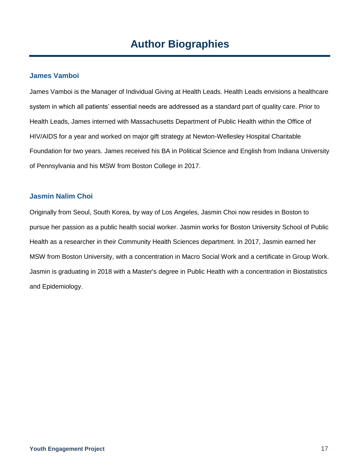#### **James Vamboi**

James Vamboi is the Manager of Individual Giving at Health Leads. Health Leads envisions a healthcare system in which all patients' essential needs are addressed as a standard part of quality care. Prior to Health Leads, James interned with Massachusetts Department of Public Health within the Office of HIV/AIDS for a year and worked on major gift strategy at Newton-Wellesley Hospital Charitable Foundation for two years. James received his BA in Political Science and English from Indiana University of Pennsylvania and his MSW from Boston College in 2017.

#### **Jasmin Nalim Choi**

Originally from Seoul, South Korea, by way of Los Angeles, Jasmin Choi now resides in Boston to pursue her passion as a public health social worker. Jasmin works for Boston University School of Public Health as a researcher in their Community Health Sciences department. In 2017, Jasmin earned her MSW from Boston University, with a concentration in Macro Social Work and a certificate in Group Work. Jasmin is graduating in 2018 with a Master's degree in Public Health with a concentration in Biostatistics and Epidemiology.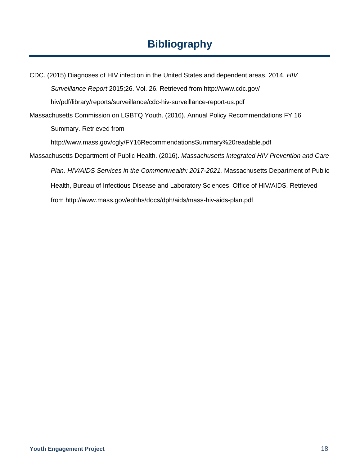# **Bibliography**

CDC. (2015) Diagnoses of HIV infection in the United States and dependent areas, 2014. *HIV Surveillance Report* 2015;26. Vol. 26. Retrieved from http://www.cdc.gov/ hiv/pdf/library/reports/surveillance/cdc-hiv-surveillance-report-us.pdf Massachusetts Commission on LGBTQ Youth. (2016). Annual Policy Recommendations FY 16 Summary. Retrieved from http://www.mass.gov/cgly/FY16RecommendationsSummary%20readable.pdf Massachusetts Department of Public Health. (2016). *Massachusetts Integrated HIV Prevention and Care Plan. HIV/AIDS Services in the Commonwealth: 2017-2021.* Massachusetts Department of Public Health, Bureau of Infectious Disease and Laboratory Sciences, Office of HIV/AIDS. Retrieved from http://www.mass.gov/eohhs/docs/dph/aids/mass-hiv-aids-plan.pdf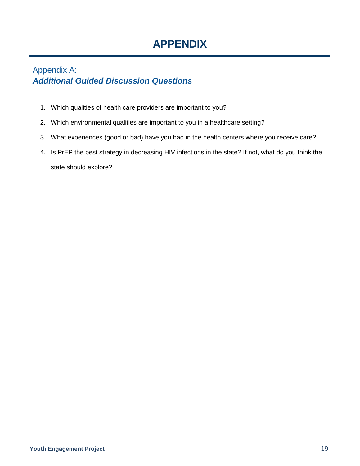# **APPENDIX**

## Appendix A: *Additional Guided Discussion Questions*

- 1. Which qualities of health care providers are important to you?
- 2. Which environmental qualities are important to you in a healthcare setting?
- 3. What experiences (good or bad) have you had in the health centers where you receive care?
- 4. Is PrEP the best strategy in decreasing HIV infections in the state? If not, what do you think the state should explore?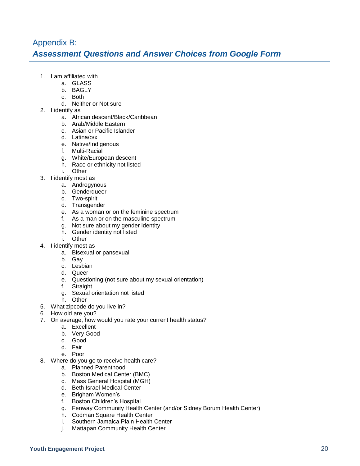### Appendix B: *Assessment Questions and Answer Choices from Google Form*

- 1. I am affiliated with
	- a. GLASS
		- b. BAGLY
	- c. Both
		- d. Neither or Not sure
- 2. I identify as
	- a. African descent/Black/Caribbean
	- b. Arab/Middle Eastern
	- c. Asian or Pacific Islander
	- d. Latina/o/x
	- e. Native/Indigenous
	- f. Multi-Racial
	- g. White/European descent
	- h. Race or ethnicity not listed
	- i. Other
- 3. I identify most as
	- a. Androgynous
	- b. Genderqueer
	- c. Two-spirit
	- d. Transgender
	- e. As a woman or on the feminine spectrum
	- f. As a man or on the masculine spectrum
	- g. Not sure about my gender identity
	- h. Gender identity not listed
	- i. Other
- 4. I identify most as
	- a. Bisexual or pansexual
	- b. Gay
	- c. Lesbian
	- d. Queer
	- e. Questioning (not sure about my sexual orientation)
	- f. Straight
	- g. Sexual orientation not listed
	- h. Other
- 5. What zipcode do you live in?
- 6. How old are you?
- 7. On average, how would you rate your current health status?
	- a. Excellent
		- b. Very Good
		- c. Good
		- d. Fair
		- e. Poor
- 8. Where do you go to receive health care?
	- a. Planned Parenthood
	- b. Boston Medical Center (BMC)
	- c. Mass General Hospital (MGH)
	- d. Beth Israel Medical Center
	- e. Brigham Women's
	- f. Boston Children's Hospital
	- g. Fenway Community Health Center (and/or Sidney Borum Health Center)
	- h. Codman Square Health Center
	- i. Southern Jamaica Plain Health Center
	- j. Mattapan Community Health Center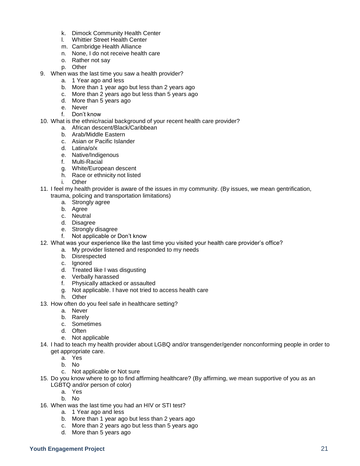- k. Dimock Community Health Center
- l. Whittier Street Health Center
- m. Cambridge Health Alliance
- n. None, I do not receive health care
- o. Rather not say
- p. Other
- 9. When was the last time you saw a health provider?
	- a. 1 Year ago and less
	- b. More than 1 year ago but less than 2 years ago
	- c. More than 2 years ago but less than 5 years ago
	- d. More than 5 years ago
	- e. Never
	- f. Don't know
- 10. What is the ethnic/racial background of your recent health care provider?
	- a. African descent/Black/Caribbean
	- b. Arab/Middle Eastern
	- c. Asian or Pacific Islander
	- d. Latina/o/x
	- e. Native/Indigenous
	- f. Multi-Racial
	- g. White/European descent
	- h. Race or ethnicity not listed
	- i. Other
- 11. I feel my health provider is aware of the issues in my community. (By issues, we mean gentrification, trauma, policing and transportation limitations)
	- a. Strongly agree
		-
		- b. Agree
		- c. Neutral
		- d. Disagree
		- e. Strongly disagree
	- f. Not applicable or Don't know
- 12. What was your experience like the last time you visited your health care provider's office?
	- a. My provider listened and responded to my needs
		- b. Disrespected
		- c. lanored
		- d. Treated like I was disgusting
		- e. Verbally harassed
		- f. Physically attacked or assaulted
		- g. Not applicable. I have not tried to access health care
		- h. Other
- 13. How often do you feel safe in healthcare setting?
	- a. Never
	- b. Rarely
	- c. Sometimes
	- d. Often
	- e. Not applicable
- 14. I had to teach my health provider about LGBQ and/or transgender/gender nonconforming people in order to get appropriate care.
	- a. Yes
	- b. No
	- c. Not applicable or Not sure
- 15. Do you know where to go to find affirming healthcare? (By affirming, we mean supportive of you as an LGBTQ and/or person of color)
	- a. Yes
	- b. No
- 16. When was the last time you had an HIV or STI test?
	- a. 1 Year ago and less
	- b. More than 1 year ago but less than 2 years ago
	- c. More than 2 years ago but less than 5 years ago
	- d. More than 5 years ago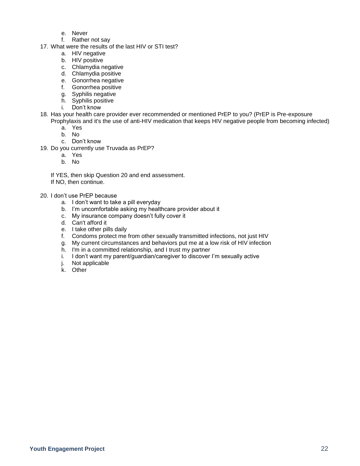- e. Never
- f. Rather not say
- 17. What were the results of the last HIV or STI test?
	- a. HIV negative
	- b. HIV positive
	- c. Chlamydia negative
	- d. Chlamydia positive
	- e. Gonorrhea negative
	- f. Gonorrhea positive
	- g. Syphilis negative
	- h. Syphilis positive
	- i. Don't know
- 18. Has your health care provider ever recommended or mentioned PrEP to you? (PrEP is Pre-exposure Prophylaxis and it's the use of anti-HIV medication that keeps HIV negative people from becoming infected)
	- a. Yes
	- b. No
	- c. Don't know
- 19. Do you currently use Truvada as PrEP?
	- a. Yes
	- b. No

If YES, then skip Question 20 and end assessment.

If NO, then continue.

#### 20. I don't use PrEP because

- a. I don't want to take a pill everyday
- b. I'm uncomfortable asking my healthcare provider about it
- c. My insurance company doesn't fully cover it
- d. Can't afford it
- e. I take other pills daily
- f. Condoms protect me from other sexually transmitted infections, not just HIV
- g. My current circumstances and behaviors put me at a low risk of HIV infection
- h. I'm in a committed relationship, and I trust my partner
- i. I don't want my parent/guardian/caregiver to discover I'm sexually active
- j. Not applicable
- k. Other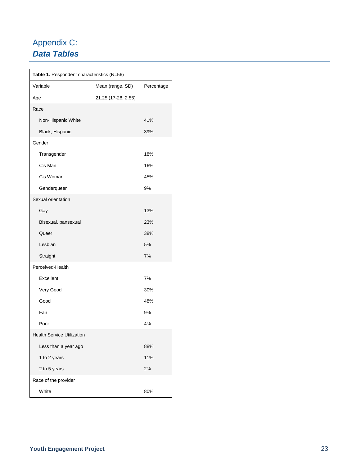# Appendix C: *Data Tables*

| Table 1. Respondent characteristics (N=56) |                     |            |  |
|--------------------------------------------|---------------------|------------|--|
| Variable                                   | Mean (range, SD)    | Percentage |  |
| Age                                        | 21.25 (17-28, 2.55) |            |  |
| Race                                       |                     |            |  |
| Non-Hispanic White                         |                     | 41%        |  |
| Black, Hispanic                            |                     | 39%        |  |
| Gender                                     |                     |            |  |
| Transgender                                |                     | 18%        |  |
| Cis Man                                    |                     | 16%        |  |
| Cis Woman                                  |                     | 45%        |  |
| Genderqueer                                |                     | 9%         |  |
| Sexual orientation                         |                     |            |  |
| Gay                                        |                     | 13%        |  |
| Bisexual, pansexual                        |                     | 23%        |  |
| Queer                                      |                     | 38%        |  |
| Lesbian                                    |                     | 5%         |  |
| Straight                                   |                     | 7%         |  |
| Perceived-Health                           |                     |            |  |
| Excellent                                  |                     | 7%         |  |
| Very Good                                  |                     | 30%        |  |
| Good                                       |                     | 48%        |  |
| Fair                                       |                     | 9%         |  |
| Poor                                       |                     | 4%         |  |
| <b>Health Service Utilization</b>          |                     |            |  |
| Less than a year ago                       |                     | 88%        |  |
| 1 to 2 years                               |                     | 11%        |  |
| 2 to 5 years                               |                     | 2%         |  |
| Race of the provider                       |                     |            |  |
| White                                      |                     | 80%        |  |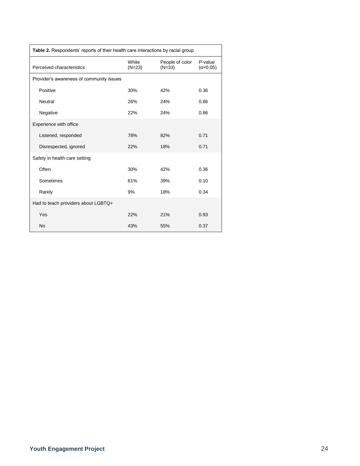| Table 2. Respondents' reports of their health care interactions by racial group |                   |                             |                              |
|---------------------------------------------------------------------------------|-------------------|-----------------------------|------------------------------|
| Perceived characteristics                                                       | White<br>$(N=23)$ | People of color<br>$(N=33)$ | P-value<br>$(\alpha = 0.05)$ |
| Provider's awareness of community issues                                        |                   |                             |                              |
| Positive                                                                        | 30%               | 42%                         | 0.36                         |
| Neutral                                                                         | 26%               | 24%                         | 0.86                         |
| Negative                                                                        | 22%               | 24%                         | 0.86                         |
| Experience with office                                                          |                   |                             |                              |
| Listened, responded                                                             | 78%               | 82%                         | 0.71                         |
| Disrespected, ignored                                                           | 22%               | 18%                         | 0.71                         |
| Safety in health care setting                                                   |                   |                             |                              |
| Often                                                                           | 30%               | 42%                         | 0.36                         |
| Sometimes                                                                       | 61%               | 39%                         | 0.10                         |
| Rarely                                                                          | 9%                | 18%                         | 0.34                         |
| Had to teach providers about LGBTQ+                                             |                   |                             |                              |
| Yes                                                                             | 22%               | 21%                         | 0.93                         |
| <b>No</b>                                                                       | 43%               | 55%                         | 0.37                         |